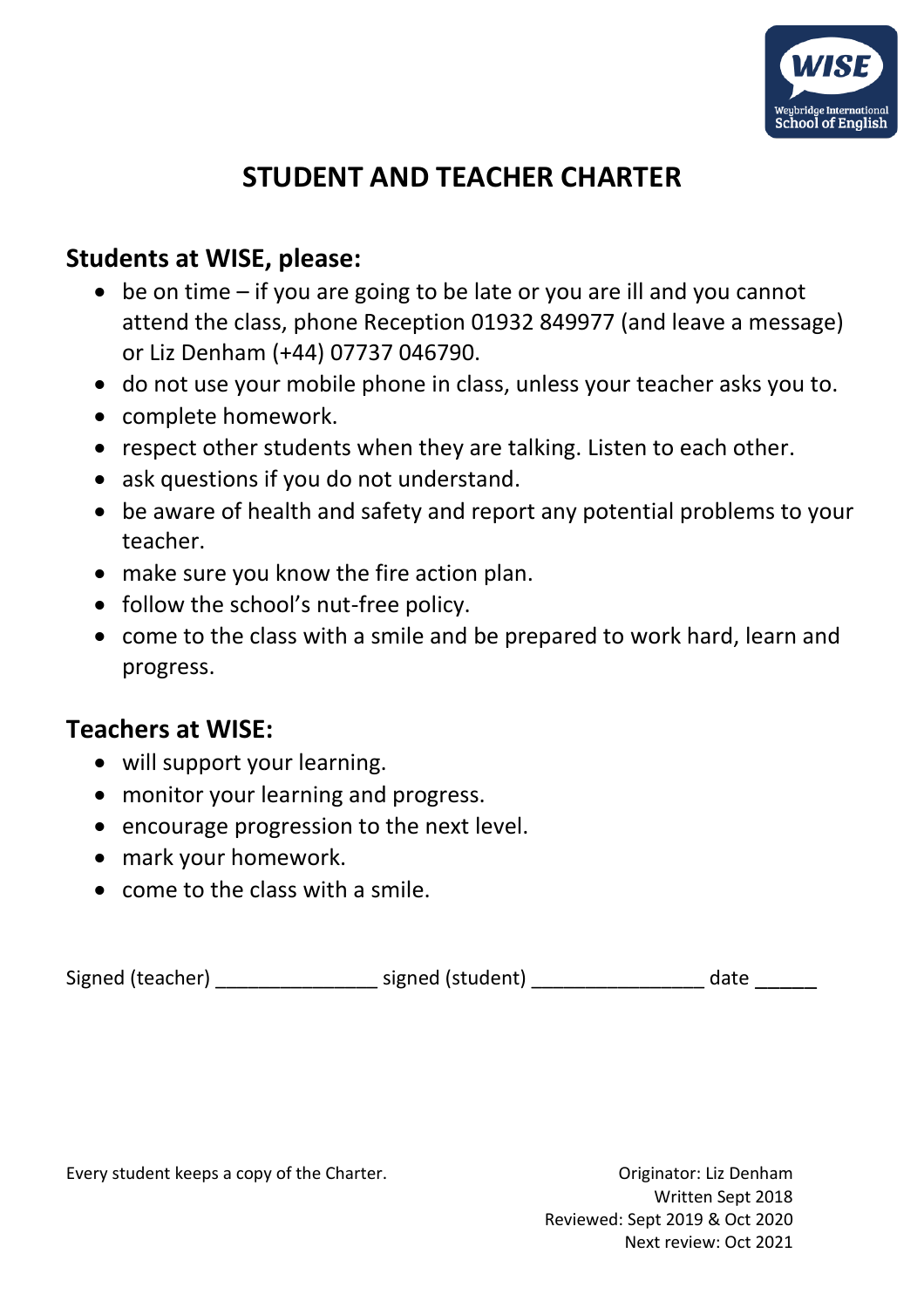

## **STUDENT AND TEACHER CHARTER**

## **Students at WISE, please:**

- be on time if you are going to be late or you are ill and you cannot attend the class, phone Reception 01932 849977 (and leave a message) or Liz Denham (+44) 07737 046790.
- do not use your mobile phone in class, unless your teacher asks you to.
- complete homework.
- respect other students when they are talking. Listen to each other.
- ask questions if you do not understand.
- be aware of health and safety and report any potential problems to your teacher.
- make sure you know the fire action plan.
- follow the school's nut-free policy.
- come to the class with a smile and be prepared to work hard, learn and progress.

## **Teachers at WISE:**

- will support your learning.
- monitor your learning and progress.
- encourage progression to the next level.
- mark your homework.
- come to the class with a smile.

Signed (teacher) examples a signed (student) and a characteristic date date

Every student keeps a copy of the Charter. The Charter of Charter and Charter of Charter of Charter.